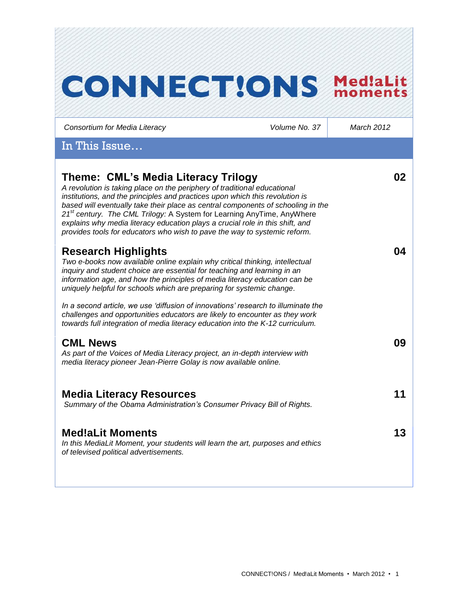| <b>CONNECTIONS</b>                                                                                                                                                                                                                                                                                                                                                                                                                                                                                                                      |               | Med!aLit<br>moments |
|-----------------------------------------------------------------------------------------------------------------------------------------------------------------------------------------------------------------------------------------------------------------------------------------------------------------------------------------------------------------------------------------------------------------------------------------------------------------------------------------------------------------------------------------|---------------|---------------------|
| Consortium for Media Literacy                                                                                                                                                                                                                                                                                                                                                                                                                                                                                                           | Volume No. 37 | <b>March 2012</b>   |
| In This Issue                                                                                                                                                                                                                                                                                                                                                                                                                                                                                                                           |               |                     |
| Theme: CML's Media Literacy Trilogy<br>A revolution is taking place on the periphery of traditional educational<br>institutions, and the principles and practices upon which this revolution is<br>based will eventually take their place as central components of schooling in the<br>21 <sup>st</sup> century. The CML Trilogy: A System for Learning AnyTime, AnyWhere<br>explains why media literacy education plays a crucial role in this shift, and<br>provides tools for educators who wish to pave the way to systemic reform. |               | 02                  |
| <b>Research Highlights</b><br>Two e-books now available online explain why critical thinking, intellectual<br>inquiry and student choice are essential for teaching and learning in an<br>information age, and how the principles of media literacy education can be<br>uniquely helpful for schools which are preparing for systemic change.<br>In a second article, we use 'diffusion of innovations' research to illuminate the                                                                                                      |               | 04                  |
| challenges and opportunities educators are likely to encounter as they work<br>towards full integration of media literacy education into the K-12 curriculum.<br><b>CML News</b><br>As part of the Voices of Media Literacy project, an in-depth interview with<br>media literacy pioneer Jean-Pierre Golay is now available online.                                                                                                                                                                                                    |               | 09                  |
| <b>Media Literacy Resources</b><br>Summary of the Obama Administration's Consumer Privacy Bill of Rights.                                                                                                                                                                                                                                                                                                                                                                                                                               |               | 11                  |
| <b>Med!aLit Moments</b><br>In this MediaLit Moment, your students will learn the art, purposes and ethics<br>of televised political advertisements.                                                                                                                                                                                                                                                                                                                                                                                     |               | 13                  |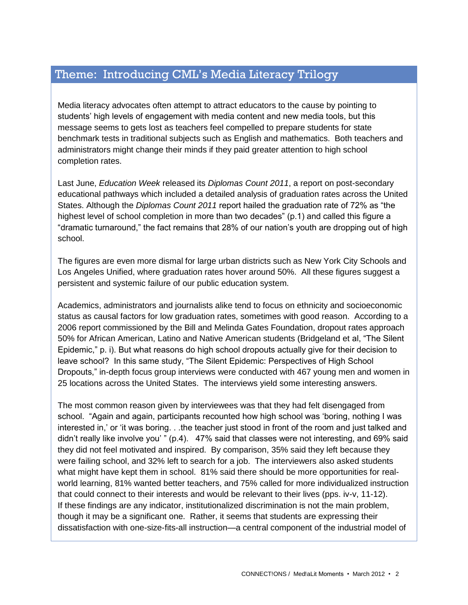# Theme: Introducing CML's Media Literacy Trilogy

Media literacy advocates often attempt to attract educators to the cause by pointing to students' high levels of engagement with media content and new media tools, but this message seems to gets lost as teachers feel compelled to prepare students for state benchmark tests in traditional subjects such as English and mathematics. Both teachers and administrators might change their minds if they paid greater attention to high school completion rates.

Last June, *Education Week* released its *Diplomas Count 2011*, a report on post-secondary educational pathways which included a detailed analysis of graduation rates across the United States. Although the *Diplomas Count 2011* report hailed the graduation rate of 72% as "the highest level of school completion in more than two decades" (p.1) and called this figure a "dramatic turnaround," the fact remains that 28% of our nation's youth are dropping out of high school.

The figures are even more dismal for large urban districts such as New York City Schools and Los Angeles Unified, where graduation rates hover around 50%. All these figures suggest a persistent and systemic failure of our public education system.

Academics, administrators and journalists alike tend to focus on ethnicity and socioeconomic status as causal factors for low graduation rates, sometimes with good reason. According to a 2006 report commissioned by the Bill and Melinda Gates Foundation, dropout rates approach 50% for African American, Latino and Native American students (Bridgeland et al, "The Silent Epidemic," p. i). But what reasons do high school dropouts actually give for their decision to leave school? In this same study, "The Silent Epidemic: Perspectives of High School Dropouts," in-depth focus group interviews were conducted with 467 young men and women in 25 locations across the United States. The interviews yield some interesting answers.

The most common reason given by interviewees was that they had felt disengaged from school. "Again and again, participants recounted how high school was 'boring, nothing I was interested in,' or 'it was boring. . .the teacher just stood in front of the room and just talked and didn't really like involve you' " (p.4). 47% said that classes were not interesting, and 69% said they did not feel motivated and inspired. By comparison, 35% said they left because they were failing school, and 32% left to search for a job. The interviewers also asked students what might have kept them in school. 81% said there should be more opportunities for realworld learning, 81% wanted better teachers, and 75% called for more individualized instruction that could connect to their interests and would be relevant to their lives (pps. iv-v, 11-12). If these findings are any indicator, institutionalized discrimination is not the main problem, though it may be a significant one. Rather, it seems that students are expressing their dissatisfaction with one-size-fits-all instruction—a central component of the industrial model of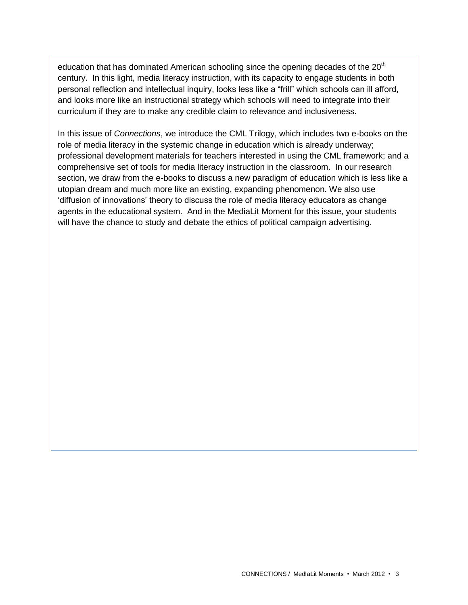education that has dominated American schooling since the opening decades of the  $20<sup>th</sup>$ century. In this light, media literacy instruction, with its capacity to engage students in both personal reflection and intellectual inquiry, looks less like a "frill" which schools can ill afford, and looks more like an instructional strategy which schools will need to integrate into their curriculum if they are to make any credible claim to relevance and inclusiveness.

In this issue of *Connections*, we introduce the CML Trilogy, which includes two e-books on the role of media literacy in the systemic change in education which is already underway; professional development materials for teachers interested in using the CML framework; and a comprehensive set of tools for media literacy instruction in the classroom. In our research section, we draw from the e-books to discuss a new paradigm of education which is less like a utopian dream and much more like an existing, expanding phenomenon. We also use 'diffusion of innovations' theory to discuss the role of media literacy educators as change agents in the educational system. And in the MediaLit Moment for this issue, your students will have the chance to study and debate the ethics of political campaign advertising.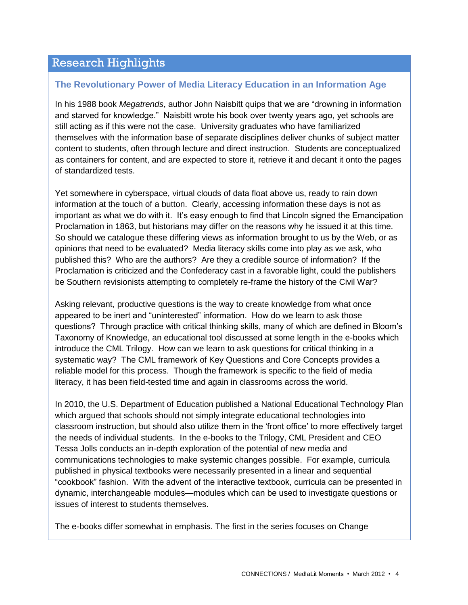### Research Highlights

### **The Revolutionary Power of Media Literacy Education in an Information Age**

In his 1988 book *Megatrends*, author John Naisbitt quips that we are "drowning in information and starved for knowledge." Naisbitt wrote his book over twenty years ago, yet schools are still acting as if this were not the case. University graduates who have familiarized themselves with the information base of separate disciplines deliver chunks of subject matter content to students, often through lecture and direct instruction. Students are conceptualized as containers for content, and are expected to store it, retrieve it and decant it onto the pages of standardized tests.

Yet somewhere in cyberspace, virtual clouds of data float above us, ready to rain down information at the touch of a button. Clearly, accessing information these days is not as important as what we do with it. It's easy enough to find that Lincoln signed the Emancipation Proclamation in 1863, but historians may differ on the reasons why he issued it at this time. So should we catalogue these differing views as information brought to us by the Web, or as opinions that need to be evaluated? Media literacy skills come into play as we ask, who published this? Who are the authors? Are they a credible source of information? If the Proclamation is criticized and the Confederacy cast in a favorable light, could the publishers be Southern revisionists attempting to completely re-frame the history of the Civil War?

Asking relevant, productive questions is the way to create knowledge from what once appeared to be inert and "uninterested" information. How do we learn to ask those questions? Through practice with critical thinking skills, many of which are defined in Bloom's Taxonomy of Knowledge, an educational tool discussed at some length in the e-books which introduce the CML Trilogy. How can we learn to ask questions for critical thinking in a systematic way? The CML framework of Key Questions and Core Concepts provides a reliable model for this process. Though the framework is specific to the field of media literacy, it has been field-tested time and again in classrooms across the world.

In 2010, the U.S. Department of Education published a National Educational Technology Plan which argued that schools should not simply integrate educational technologies into classroom instruction, but should also utilize them in the 'front office' to more effectively target the needs of individual students. In the e-books to the Trilogy, CML President and CEO Tessa Jolls conducts an in-depth exploration of the potential of new media and communications technologies to make systemic changes possible. For example, curricula published in physical textbooks were necessarily presented in a linear and sequential "cookbook" fashion. With the advent of the interactive textbook, curricula can be presented in dynamic, interchangeable modules—modules which can be used to investigate questions or issues of interest to students themselves.

The e-books differ somewhat in emphasis. The first in the series focuses on Change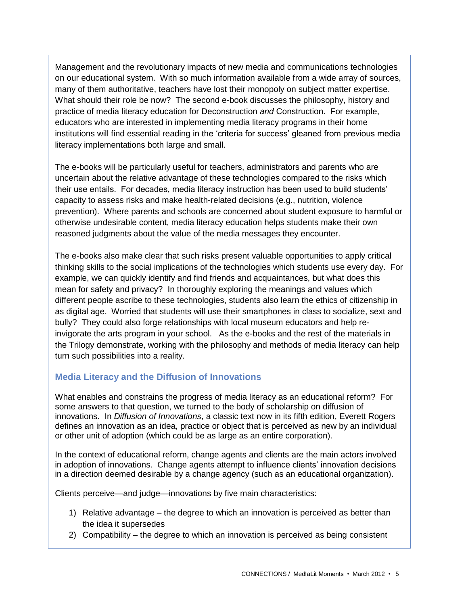Management and the revolutionary impacts of new media and communications technologies on our educational system. With so much information available from a wide array of sources, many of them authoritative, teachers have lost their monopoly on subject matter expertise. What should their role be now? The second e-book discusses the philosophy, history and practice of media literacy education for Deconstruction *and* Construction. For example, educators who are interested in implementing media literacy programs in their home institutions will find essential reading in the 'criteria for success' gleaned from previous media literacy implementations both large and small.

The e-books will be particularly useful for teachers, administrators and parents who are uncertain about the relative advantage of these technologies compared to the risks which their use entails. For decades, media literacy instruction has been used to build students' capacity to assess risks and make health-related decisions (e.g., nutrition, violence prevention). Where parents and schools are concerned about student exposure to harmful or otherwise undesirable content, media literacy education helps students make their own reasoned judgments about the value of the media messages they encounter.

The e-books also make clear that such risks present valuable opportunities to apply critical thinking skills to the social implications of the technologies which students use every day. For example, we can quickly identify and find friends and acquaintances, but what does this mean for safety and privacy? In thoroughly exploring the meanings and values which different people ascribe to these technologies, students also learn the ethics of citizenship in as digital age. Worried that students will use their smartphones in class to socialize, sext and bully? They could also forge relationships with local museum educators and help reinvigorate the arts program in your school. As the e-books and the rest of the materials in the Trilogy demonstrate, working with the philosophy and methods of media literacy can help turn such possibilities into a reality.

### **Media Literacy and the Diffusion of Innovations**

What enables and constrains the progress of media literacy as an educational reform? For some answers to that question, we turned to the body of scholarship on diffusion of innovations. In *Diffusion of Innovations*, a classic text now in its fifth edition, Everett Rogers defines an innovation as an idea, practice or object that is perceived as new by an individual or other unit of adoption (which could be as large as an entire corporation).

In the context of educational reform, change agents and clients are the main actors involved in adoption of innovations. Change agents attempt to influence clients' innovation decisions in a direction deemed desirable by a change agency (such as an educational organization).

Clients perceive—and judge—innovations by five main characteristics:

- 1) Relative advantage the degree to which an innovation is perceived as better than the idea it supersedes
- 2) Compatibility the degree to which an innovation is perceived as being consistent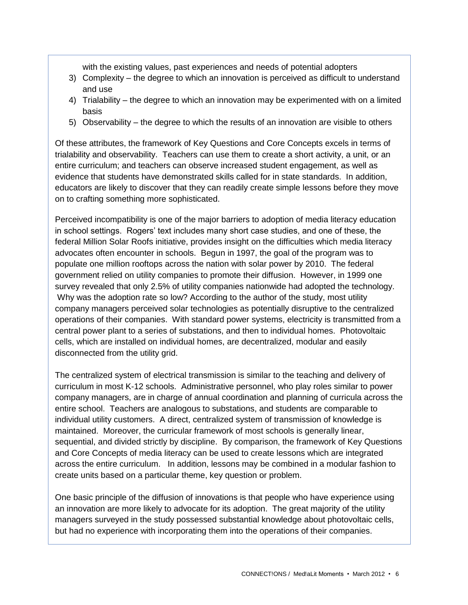with the existing values, past experiences and needs of potential adopters

- 3) Complexity the degree to which an innovation is perceived as difficult to understand and use
- 4) Trialability the degree to which an innovation may be experimented with on a limited basis
- 5) Observability the degree to which the results of an innovation are visible to others

Of these attributes, the framework of Key Questions and Core Concepts excels in terms of trialability and observability. Teachers can use them to create a short activity, a unit, or an entire curriculum; and teachers can observe increased student engagement, as well as evidence that students have demonstrated skills called for in state standards. In addition, educators are likely to discover that they can readily create simple lessons before they move on to crafting something more sophisticated.

Perceived incompatibility is one of the major barriers to adoption of media literacy education in school settings. Rogers' text includes many short case studies, and one of these, the federal Million Solar Roofs initiative, provides insight on the difficulties which media literacy advocates often encounter in schools. Begun in 1997, the goal of the program was to populate one million rooftops across the nation with solar power by 2010. The federal government relied on utility companies to promote their diffusion. However, in 1999 one survey revealed that only 2.5% of utility companies nationwide had adopted the technology. Why was the adoption rate so low? According to the author of the study, most utility company managers perceived solar technologies as potentially disruptive to the centralized operations of their companies. With standard power systems, electricity is transmitted from a central power plant to a series of substations, and then to individual homes. Photovoltaic cells, which are installed on individual homes, are decentralized, modular and easily disconnected from the utility grid.

The centralized system of electrical transmission is similar to the teaching and delivery of curriculum in most K-12 schools. Administrative personnel, who play roles similar to power company managers, are in charge of annual coordination and planning of curricula across the entire school. Teachers are analogous to substations, and students are comparable to individual utility customers. A direct, centralized system of transmission of knowledge is maintained. Moreover, the curricular framework of most schools is generally linear, sequential, and divided strictly by discipline. By comparison, the framework of Key Questions and Core Concepts of media literacy can be used to create lessons which are integrated across the entire curriculum. In addition, lessons may be combined in a modular fashion to create units based on a particular theme, key question or problem.

One basic principle of the diffusion of innovations is that people who have experience using an innovation are more likely to advocate for its adoption. The great majority of the utility managers surveyed in the study possessed substantial knowledge about photovoltaic cells, but had no experience with incorporating them into the operations of their companies.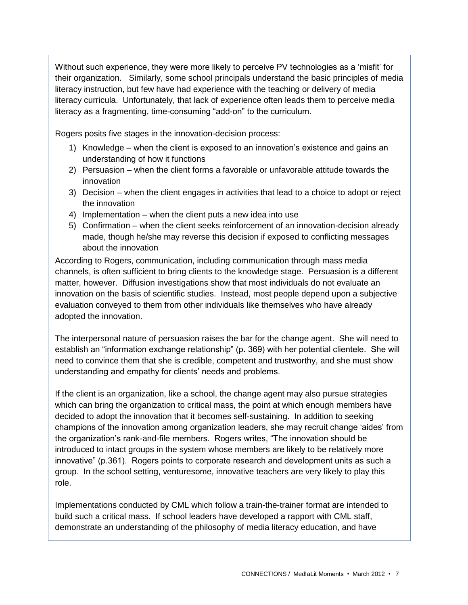Without such experience, they were more likely to perceive PV technologies as a 'misfit' for their organization. Similarly, some school principals understand the basic principles of media literacy instruction, but few have had experience with the teaching or delivery of media literacy curricula. Unfortunately, that lack of experience often leads them to perceive media literacy as a fragmenting, time-consuming "add-on" to the curriculum.

Rogers posits five stages in the innovation-decision process:

- 1) Knowledge when the client is exposed to an innovation's existence and gains an understanding of how it functions
- 2) Persuasion when the client forms a favorable or unfavorable attitude towards the innovation
- 3) Decision when the client engages in activities that lead to a choice to adopt or reject the innovation
- 4) Implementation when the client puts a new idea into use
- 5) Confirmation when the client seeks reinforcement of an innovation-decision already made, though he/she may reverse this decision if exposed to conflicting messages about the innovation

According to Rogers, communication, including communication through mass media channels, is often sufficient to bring clients to the knowledge stage. Persuasion is a different matter, however. Diffusion investigations show that most individuals do not evaluate an innovation on the basis of scientific studies. Instead, most people depend upon a subjective evaluation conveyed to them from other individuals like themselves who have already adopted the innovation.

The interpersonal nature of persuasion raises the bar for the change agent. She will need to establish an "information exchange relationship" (p. 369) with her potential clientele. She will need to convince them that she is credible, competent and trustworthy, and she must show understanding and empathy for clients' needs and problems.

If the client is an organization, like a school, the change agent may also pursue strategies which can bring the organization to critical mass, the point at which enough members have decided to adopt the innovation that it becomes self-sustaining. In addition to seeking champions of the innovation among organization leaders, she may recruit change 'aides' from the organization's rank-and-file members. Rogers writes, "The innovation should be introduced to intact groups in the system whose members are likely to be relatively more innovative" (p.361). Rogers points to corporate research and development units as such a group. In the school setting, venturesome, innovative teachers are very likely to play this role.

Implementations conducted by CML which follow a train-the-trainer format are intended to build such a critical mass. If school leaders have developed a rapport with CML staff, demonstrate an understanding of the philosophy of media literacy education, and have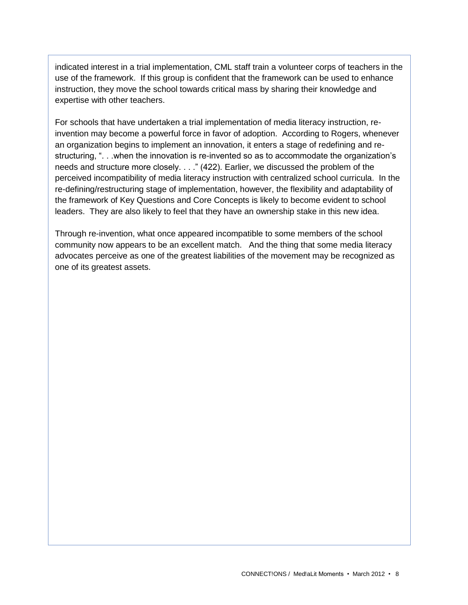indicated interest in a trial implementation, CML staff train a volunteer corps of teachers in the use of the framework. If this group is confident that the framework can be used to enhance instruction, they move the school towards critical mass by sharing their knowledge and expertise with other teachers.

For schools that have undertaken a trial implementation of media literacy instruction, reinvention may become a powerful force in favor of adoption. According to Rogers, whenever an organization begins to implement an innovation, it enters a stage of redefining and restructuring, ". . .when the innovation is re-invented so as to accommodate the organization's needs and structure more closely. . . ." (422). Earlier, we discussed the problem of the perceived incompatibility of media literacy instruction with centralized school curricula. In the re-defining/restructuring stage of implementation, however, the flexibility and adaptability of the framework of Key Questions and Core Concepts is likely to become evident to school leaders. They are also likely to feel that they have an ownership stake in this new idea.

Through re-invention, what once appeared incompatible to some members of the school community now appears to be an excellent match. And the thing that some media literacy advocates perceive as one of the greatest liabilities of the movement may be recognized as one of its greatest assets.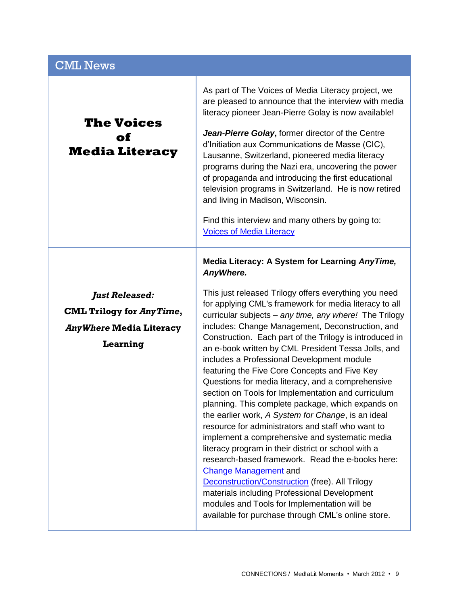| <b>CML News</b>                                                                                        |                                                                                                                                                                                                                                                                                                                                                                                                                                                                                                                                                                                                                                                                                                                                                                                                                                                                                                                                                                                                                                                                                                                                                                                                       |
|--------------------------------------------------------------------------------------------------------|-------------------------------------------------------------------------------------------------------------------------------------------------------------------------------------------------------------------------------------------------------------------------------------------------------------------------------------------------------------------------------------------------------------------------------------------------------------------------------------------------------------------------------------------------------------------------------------------------------------------------------------------------------------------------------------------------------------------------------------------------------------------------------------------------------------------------------------------------------------------------------------------------------------------------------------------------------------------------------------------------------------------------------------------------------------------------------------------------------------------------------------------------------------------------------------------------------|
| <b>The Voices</b><br>оf<br><b>Media Literacy</b>                                                       | As part of The Voices of Media Literacy project, we<br>are pleased to announce that the interview with media<br>literacy pioneer Jean-Pierre Golay is now available!<br>Jean-Pierre Golay, former director of the Centre<br>d'Initiation aux Communications de Masse (CIC),<br>Lausanne, Switzerland, pioneered media literacy<br>programs during the Nazi era, uncovering the power<br>of propaganda and introducing the first educational<br>television programs in Switzerland. He is now retired<br>and living in Madison, Wisconsin.<br>Find this interview and many others by going to:<br><b>Voices of Media Literacy</b>                                                                                                                                                                                                                                                                                                                                                                                                                                                                                                                                                                      |
| <b>Just Released:</b><br><b>CML Trilogy for AnyTime,</b><br><b>AnyWhere Media Literacy</b><br>Learning | Media Literacy: A System for Learning AnyTime,<br>AnyWhere.<br>This just released Trilogy offers everything you need<br>for applying CML's framework for media literacy to all<br>curricular subjects - any time, any where! The Trilogy<br>includes: Change Management, Deconstruction, and<br>Construction. Each part of the Trilogy is introduced in<br>an e-book written by CML President Tessa Jolls, and<br>includes a Professional Development module<br>featuring the Five Core Concepts and Five Key<br>Questions for media literacy, and a comprehensive<br>section on Tools for Implementation and curriculum<br>planning. This complete package, which expands on<br>the earlier work, A System for Change, is an ideal<br>resource for administrators and staff who want to<br>implement a comprehensive and systematic media<br>literacy program in their district or school with a<br>research-based framework. Read the e-books here:<br><b>Change Management</b> and<br><b>Deconstruction/Construction (free). All Trilogy</b><br>materials including Professional Development<br>modules and Tools for Implementation will be<br>available for purchase through CML's online store. |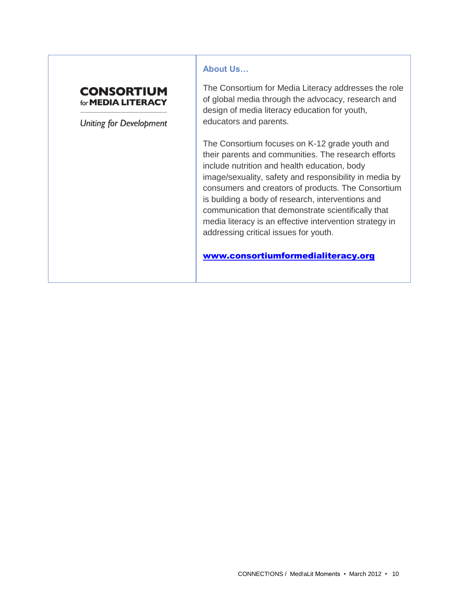### **CONSORTIUM** for **MEDIA LITERACY**

**Uniting for Development** 

#### **About Us…**

The Consortium for Media Literacy addresses the role of global media through the advocacy, research and design of media literacy education for youth, educators and parents.

The Consortium focuses on K-12 grade youth and their parents and communities. The research efforts include nutrition and health education, body image/sexuality, safety and responsibility in media by consumers and creators of products. The Consortium is building a body of research, interventions and communication that demonstrate scientifically that media literacy is an effective intervention strategy in addressing critical issues for youth.

[www.consortiumformedialiteracy.org](http://www.consortiumformedialiteracy.org/)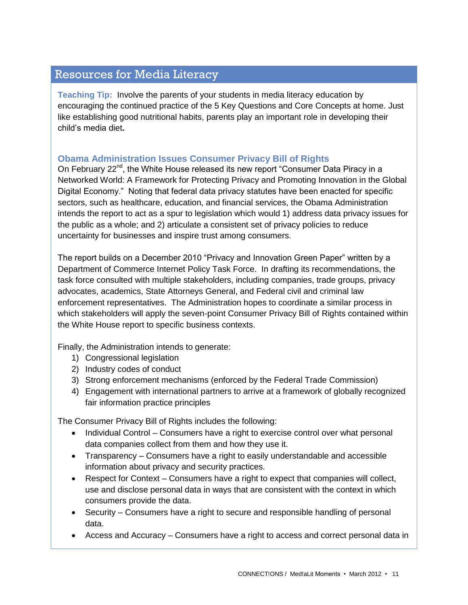# Resources for Media Literacy

**Teaching Tip:** Involve the parents of your students in media literacy education by encouraging the continued practice of the 5 Key Questions and Core Concepts at home. Just like establishing good nutritional habits, parents play an important role in developing their child's media diet**.** 

### **Obama Administration Issues Consumer Privacy Bill of Rights**

On February 22<sup>nd</sup>, the White House released its new report "Consumer Data Piracy in a Networked World: A Framework for Protecting Privacy and Promoting Innovation in the Global Digital Economy." Noting that federal data privacy statutes have been enacted for specific sectors, such as healthcare, education, and financial services, the Obama Administration intends the report to act as a spur to legislation which would 1) address data privacy issues for the public as a whole; and 2) articulate a consistent set of privacy policies to reduce uncertainty for businesses and inspire trust among consumers.

The report builds on a December 2010 "Privacy and Innovation Green Paper" written by a Department of Commerce Internet Policy Task Force. In drafting its recommendations, the task force consulted with multiple stakeholders, including companies, trade groups, privacy advocates, academics, State Attorneys General, and Federal civil and criminal law enforcement representatives. The Administration hopes to coordinate a similar process in which stakeholders will apply the seven-point Consumer Privacy Bill of Rights contained within the White House report to specific business contexts.

Finally, the Administration intends to generate:

- 1) Congressional legislation
- 2) Industry codes of conduct
- 3) Strong enforcement mechanisms (enforced by the Federal Trade Commission)
- 4) Engagement with international partners to arrive at a framework of globally recognized fair information practice principles

The Consumer Privacy Bill of Rights includes the following:

- Individual Control Consumers have a right to exercise control over what personal data companies collect from them and how they use it.
- Transparency Consumers have a right to easily understandable and accessible information about privacy and security practices.
- Respect for Context Consumers have a right to expect that companies will collect, use and disclose personal data in ways that are consistent with the context in which consumers provide the data.
- Security Consumers have a right to secure and responsible handling of personal data.
- Access and Accuracy Consumers have a right to access and correct personal data in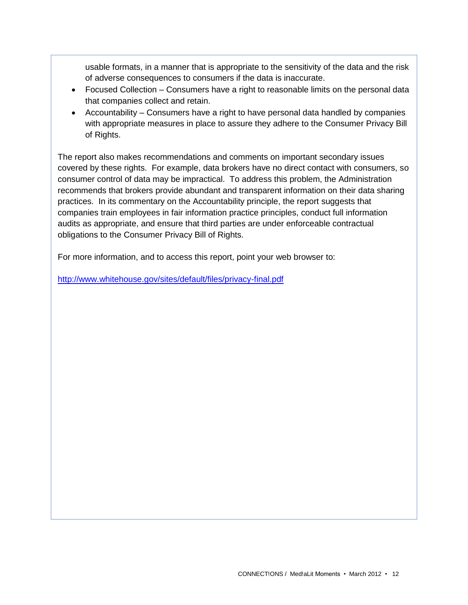usable formats, in a manner that is appropriate to the sensitivity of the data and the risk of adverse consequences to consumers if the data is inaccurate.

- Focused Collection Consumers have a right to reasonable limits on the personal data that companies collect and retain.
- Accountability Consumers have a right to have personal data handled by companies with appropriate measures in place to assure they adhere to the Consumer Privacy Bill of Rights.

The report also makes recommendations and comments on important secondary issues covered by these rights. For example, data brokers have no direct contact with consumers, so consumer control of data may be impractical. To address this problem, the Administration recommends that brokers provide abundant and transparent information on their data sharing practices. In its commentary on the Accountability principle, the report suggests that companies train employees in fair information practice principles, conduct full information audits as appropriate, and ensure that third parties are under enforceable contractual obligations to the Consumer Privacy Bill of Rights.

For more information, and to access this report, point your web browser to:

<http://www.whitehouse.gov/sites/default/files/privacy-final.pdf>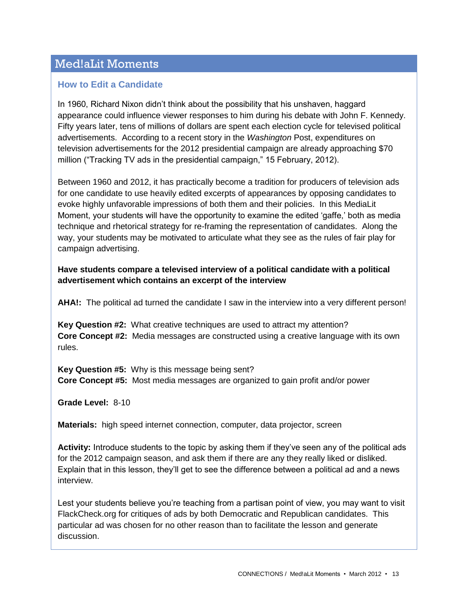# Med!aLit Moments

### **How to Edit a Candidate**

In 1960, Richard Nixon didn't think about the possibility that his unshaven, haggard appearance could influence viewer responses to him during his debate with John F. Kennedy. Fifty years later, tens of millions of dollars are spent each election cycle for televised political advertisements. According to a recent story in the *Washington* Post, expenditures on television advertisements for the 2012 presidential campaign are already approaching \$70 million ("Tracking TV ads in the presidential campaign," 15 February, 2012).

Between 1960 and 2012, it has practically become a tradition for producers of television ads for one candidate to use heavily edited excerpts of appearances by opposing candidates to evoke highly unfavorable impressions of both them and their policies. In this MediaLit Moment, your students will have the opportunity to examine the edited 'gaffe,' both as media technique and rhetorical strategy for re-framing the representation of candidates. Along the way, your students may be motivated to articulate what they see as the rules of fair play for campaign advertising.

### **Have students compare a televised interview of a political candidate with a political advertisement which contains an excerpt of the interview**

**AHA!:** The political ad turned the candidate I saw in the interview into a very different person!

**Key Question #2:** What creative techniques are used to attract my attention? **Core Concept #2:** Media messages are constructed using a creative language with its own rules.

**Key Question #5:** Why is this message being sent? **Core Concept #5:** Most media messages are organized to gain profit and/or power

**Grade Level:** 8-10

**Materials:** high speed internet connection, computer, data projector, screen

**Activity:** Introduce students to the topic by asking them if they've seen any of the political ads for the 2012 campaign season, and ask them if there are any they really liked or disliked. Explain that in this lesson, they'll get to see the difference between a political ad and a news interview.

Lest your students believe you're teaching from a partisan point of view, you may want to visit FlackCheck.org for critiques of ads by both Democratic and Republican candidates. This particular ad was chosen for no other reason than to facilitate the lesson and generate discussion.